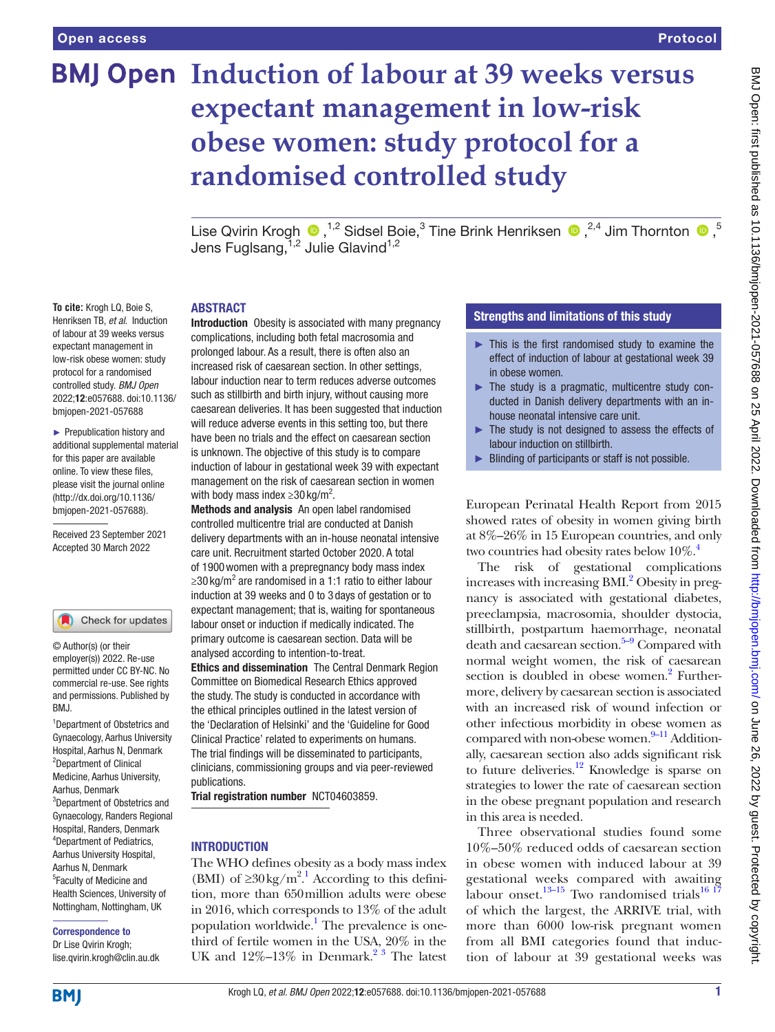**To cite:** Krogh LQ, Boie S, Henriksen TB, *et al*. Induction of labour at 39 weeks versus expectant management in low-risk obese women: study protocol for a randomised controlled study. *BMJ Open* 2022;12:e057688. doi:10.1136/ bmjopen-2021-057688 ► Prepublication history and additional supplemental material for this paper are available online. To view these files, please visit the journal online [\(http://dx.doi.org/10.1136/](http://dx.doi.org/10.1136/bmjopen-2021-057688) [bmjopen-2021-057688](http://dx.doi.org/10.1136/bmjopen-2021-057688)).

Received 23 September 2021 Accepted 30 March 2022

Check for updates

# **BMJ Open Induction of labour at 39 weeks versus expectant management in low-risk obese women: study protocol for a randomised controlled study**

LiseQvirin Krogh  $\bigcirc$  ,<sup>1,2</sup> Sidsel Boie,<sup>3</sup> Tine Brink Henriksen  $\bigcirc$  ,<sup>2,4</sup> Jim Thornton  $\bigcirc$  ,<sup>5</sup> Jens Fuglsang, 1,2 Julie Glavind 1,2

#### ABSTRACT

Introduction Obesity is associated with many pregnancy complications, including both fetal macrosomia and prolonged labour. As a result, there is often also an increased risk of caesarean section. In other settings, labour induction near to term reduces adverse outcomes such as stillbirth and birth injury, without causing more caesarean deliveries. It has been suggested that induction will reduce adverse events in this setting too, but there have been no trials and the effect on caesarean section is unknown. The objective of this study is to compare induction of labour in gestational week 39 with expectant management on the risk of caesarean section in women with body mass index  $\geq$ 30 kg/m<sup>2</sup>.

Methods and analysis An open label randomised controlled multicentre trial are conducted at Danish delivery departments with an in-house neonatal intensive care unit. Recruitment started October 2020. A total of 1900women with a prepregnancy body mass index ≥30 kg/m<sup>2</sup> are randomised in a 1:1 ratio to either labour induction at 39 weeks and 0 to 3 days of gestation or to expectant management; that is, waiting for spontaneous labour onset or induction if medically indicated. The primary outcome is caesarean section. Data will be analysed according to intention-to-treat. Ethics and dissemination The Central Denmark Region Committee on Biomedical Research Ethics approved the study. The study is conducted in accordance with the ethical principles outlined in the latest version of the 'Declaration of Helsinki' and the 'Guideline for Good Clinical Practice' related to experiments on humans. The trial findings will be disseminated to participants, clinicians, commissioning groups and via peer-reviewed publications.

Trial registration number <NCT04603859>.

## INTRODUCTION

The WHO defines obesity as a body mass index (BMI) of  $\geq 30 \text{ kg/m}^2$ . According to this definition, more than 650million adults were obese in 2016, which corresponds to 13% of the adult population worldwide.<sup>1</sup> The prevalence is onethird of fertile women in the USA, 20% in the UK and  $12\% - 13\%$  in Denmark.<sup>23</sup> The latest

## Strengths and limitations of this study

- $\blacktriangleright$  This is the first randomised study to examine the effect of induction of labour at gestational week 39 in obese women.
- ► The study is a pragmatic, multicentre study conducted in Danish delivery departments with an inhouse neonatal intensive care unit.
- ► The study is not designed to assess the effects of labour induction on stillbirth.
- ► Blinding of participants or staff is not possible.

European Perinatal Health Report from 2015 showed rates of obesity in women giving birth at 8%–26% in 15 European countries, and only two countries had obesity rates below  $10\%$ .<sup>4</sup>

The risk of gestational complications increases with increasing BMI.<sup>2</sup> Obesity in pregnancy is associated with gestational diabetes, preeclampsia, macrosomia, shoulder dystocia, stillbirth, postpartum haemorrhage, neonatal death and caesarean section. $5-9$  Compared with normal weight women, the risk of caesarean section is doubled in obese women.<sup>2</sup> Furthermore, delivery by caesarean section is associated with an increased risk of wound infection or other infectious morbidity in obese women as compared with non-obese women. $9-11$  Additionally, caesarean section also adds significant risk to future deliveries.<sup>12</sup> Knowledge is sparse on strategies to lower the rate of caesarean section in the obese pregnant population and research in this area is needed.

Three observational studies found some 10%–50% reduced odds of caesarean section in obese women with induced labour at 39 gestational weeks compared with awaiting labour onset.<sup>[13–15](#page-5-2)</sup> Two randomised trials<sup>16 17</sup> of which the largest, the ARRIVE trial, with more than 6000 low-risk pregnant women from all BMI categories found that induction of labour at 39 gestational weeks was

2 Department of Clinical Medicine, Aarhus University,

BMJ.

© Author(s) (or their employer(s)) 2022. Re-use permitted under CC BY-NC. No commercial re-use. See rights and permissions. Published by

Aarhus, Denmark 3 Department of Obstetrics and Gynaecology, Randers Regional Hospital, Randers, Denmark 4 Department of Pediatrics, Aarhus University Hospital, Aarhus N, Denmark 5 Faculty of Medicine and Health Sciences, University of Nottingham, Nottingham, UK

1 Department of Obstetrics and Gynaecology, Aarhus University Hospital, Aarhus N, Denmark

#### Correspondence to

Dr Lise Qvirin Krogh; lise.qvirin.krogh@clin.au.dk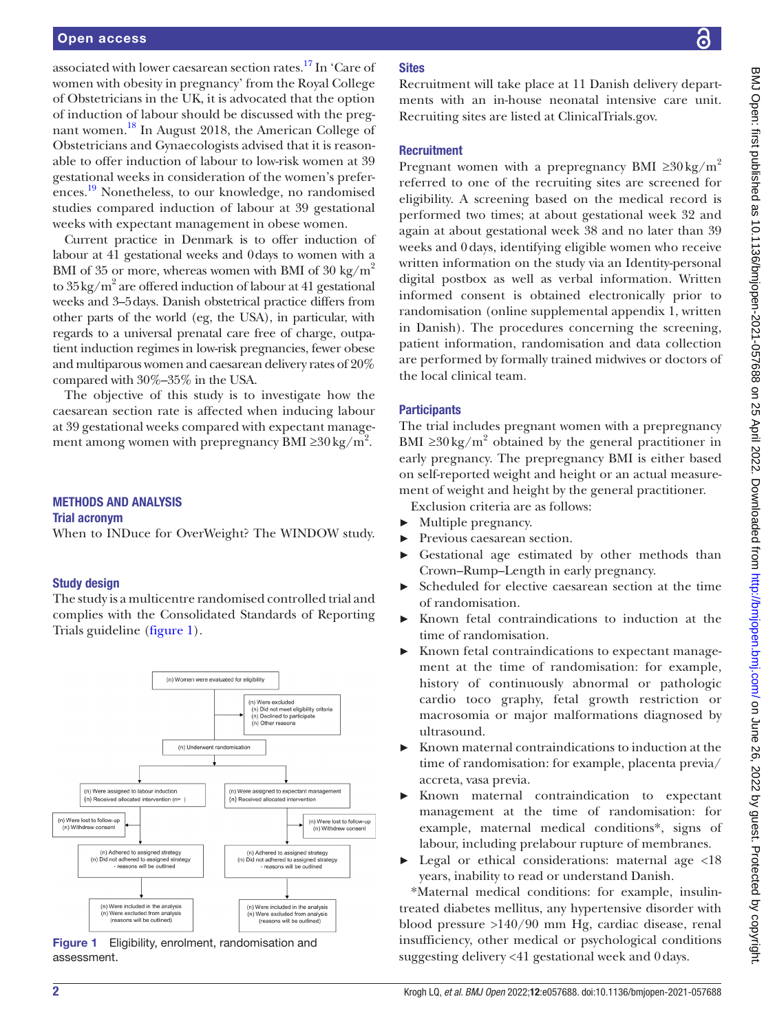associated with lower caesarean section rates[.17](#page-5-4) In 'Care of women with obesity in pregnancy' from the Royal College of Obstetricians in the UK, it is advocated that the option of induction of labour should be discussed with the pregnant women.[18](#page-5-5) In August 2018, the American College of Obstetricians and Gynaecologists advised that it is reasonable to offer induction of labour to low-risk women at 39 gestational weeks in consideration of the women's prefer-ences.<sup>[19](#page-5-6)</sup> Nonetheless, to our knowledge, no randomised studies compared induction of labour at 39 gestational weeks with expectant management in obese women.

Current practice in Denmark is to offer induction of labour at 41 gestational weeks and 0days to women with a BMI of 35 or more, whereas women with BMI of 30 kg/ $m^2$ to  $35\,\mathrm{kg/m^2}$  are offered induction of labour at 41 gestational weeks and 3–5days. Danish obstetrical practice differs from other parts of the world (eg, the USA), in particular, with regards to a universal prenatal care free of charge, outpatient induction regimes in low-risk pregnancies, fewer obese and multiparous women and caesarean delivery rates of 20% compared with 30%–35% in the USA.

The objective of this study is to investigate how the caesarean section rate is affected when inducing labour at 39 gestational weeks compared with expectant management among women with prepregnancy BMI ≥30 kg/m<sup>2</sup>.

## METHODS AND ANALYSIS

#### Trial acronym

When to INDuce for OverWeight? The WINDOW study.

## Study design

The study is a multicentre randomised controlled trial and complies with the Consolidated Standards of Reporting Trials guideline [\(figure](#page-1-0) 1).



<span id="page-1-0"></span>Figure 1 Eligibility, enrolment, randomisation and assessment.

## **Sites**

Recruitment will take place at 11 Danish delivery departments with an in-house neonatal intensive care unit. Recruiting sites are listed at ClinicalTrials.gov.

## **Recruitment**

Pregnant women with a prepregnancy BMI  $\geq 30 \text{ kg/m}^2$ referred to one of the recruiting sites are screened for eligibility. A screening based on the medical record is performed two times; at about gestational week 32 and again at about gestational week 38 and no later than 39 weeks and 0days, identifying eligible women who receive written information on the study via an Identity-personal digital postbox as well as verbal information. Written informed consent is obtained electronically prior to randomisation [\(online supplemental appendix 1](https://dx.doi.org/10.1136/bmjopen-2021-057688), written in Danish). The procedures concerning the screening, patient information, randomisation and data collection are performed by formally trained midwives or doctors of the local clinical team.

## **Participants**

The trial includes pregnant women with a prepregnancy BMI  $\geq$ 30 kg/m<sup>2</sup> obtained by the general practitioner in early pregnancy. The prepregnancy BMI is either based on self-reported weight and height or an actual measurement of weight and height by the general practitioner.

Exclusion criteria are as follows:

- Multiple pregnancy.
- ► Previous caesarean section.
- Gestational age estimated by other methods than Crown–Rump–Length in early pregnancy.
- ► Scheduled for elective caesarean section at the time of randomisation.
- Known fetal contraindications to induction at the time of randomisation.
- ► Known fetal contraindications to expectant management at the time of randomisation: for example, history of continuously abnormal or pathologic cardio toco graphy, fetal growth restriction or macrosomia or major malformations diagnosed by ultrasound.
- ► Known maternal contraindications to induction at the time of randomisation: for example, placenta previa/ accreta, vasa previa.
- ► Known maternal contraindication to expectant management at the time of randomisation: for example, maternal medical conditions\*, signs of labour, including prelabour rupture of membranes.
- ► Legal or ethical considerations: maternal age <18 years, inability to read or understand Danish.

\*Maternal medical conditions: for example, insulintreated diabetes mellitus, any hypertensive disorder with blood pressure >140/90 mm Hg, cardiac disease, renal insufficiency, other medical or psychological conditions suggesting delivery <41 gestational week and 0days.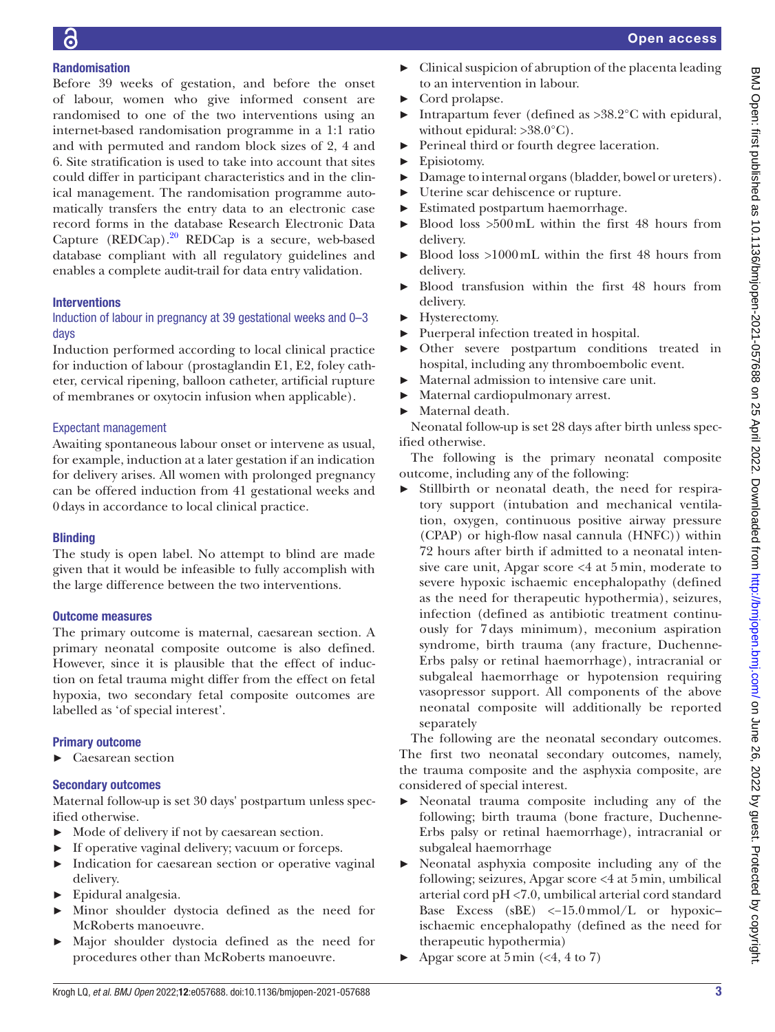# Randomisation

Before 39 weeks of gestation, and before the onset of labour, women who give informed consent are randomised to one of the two interventions using an internet-based randomisation programme in a 1:1 ratio and with permuted and random block sizes of 2, 4 and 6. Site stratification is used to take into account that sites could differ in participant characteristics and in the clinical management. The randomisation programme automatically transfers the entry data to an electronic case record forms in the database Research Electronic Data Capture  $(REDCap).^{20}$  REDCap is a secure, web-based database compliant with all regulatory guidelines and enables a complete audit-trail for data entry validation.

## **Interventions**

## Induction of labour in pregnancy at 39 gestational weeks and 0–3 days

Induction performed according to local clinical practice for induction of labour (prostaglandin E1, E2, foley catheter, cervical ripening, balloon catheter, artificial rupture of membranes or oxytocin infusion when applicable).

## Expectant management

Awaiting spontaneous labour onset or intervene as usual, for example, induction at a later gestation if an indication for delivery arises. All women with prolonged pregnancy can be offered induction from 41 gestational weeks and 0days in accordance to local clinical practice.

# **Blinding**

The study is open label. No attempt to blind are made given that it would be infeasible to fully accomplish with the large difference between the two interventions.

## Outcome measures

The primary outcome is maternal, caesarean section. A primary neonatal composite outcome is also defined. However, since it is plausible that the effect of induction on fetal trauma might differ from the effect on fetal hypoxia, two secondary fetal composite outcomes are labelled as 'of special interest'.

# Primary outcome

► Caesarean section

# Secondary outcomes

Maternal follow-up is set 30 days' postpartum unless specified otherwise.

- ► Mode of delivery if not by caesarean section.
- ► If operative vaginal delivery; vacuum or forceps.
- ► Indication for caesarean section or operative vaginal delivery.
- ► Epidural analgesia.
- ► Minor shoulder dystocia defined as the need for McRoberts manoeuvre.
- ► Major shoulder dystocia defined as the need for procedures other than McRoberts manoeuvre.
- ► Clinical suspicion of abruption of the placenta leading to an intervention in labour.
- ► Cord prolapse.
- ► Intrapartum fever (defined as >38.2°C with epidural, without epidural:  $>38.0^{\circ}$ C).
- ► Perineal third or fourth degree laceration.
- ► Episiotomy.
- ► Damage to internal organs (bladder, bowel or ureters).
- ► Uterine scar dehiscence or rupture.
- ► Estimated postpartum haemorrhage.
- Blood loss  $>500$  mL within the first 48 hours from delivery.
- ► Blood loss >1000mL within the first 48 hours from delivery.
- ► Blood transfusion within the first 48 hours from delivery.
- ► Hysterectomy.
- ► Puerperal infection treated in hospital.
- ► Other severe postpartum conditions treated in hospital, including any thromboembolic event.
- ► Maternal admission to intensive care unit.
- ► Maternal cardiopulmonary arrest.
- ► Maternal death.

Neonatal follow-up is set 28 days after birth unless specified otherwise.

The following is the primary neonatal composite outcome, including any of the following:

► Stillbirth or neonatal death, the need for respiratory support (intubation and mechanical ventilation, oxygen, continuous positive airway pressure (CPAP) or high-flow nasal cannula (HNFC)) within 72 hours after birth if admitted to a neonatal intensive care unit, Apgar score <4 at 5 min, moderate to severe hypoxic ischaemic encephalopathy (defined as the need for therapeutic hypothermia), seizures, infection (defined as antibiotic treatment continuously for 7 days minimum), meconium aspiration syndrome, birth trauma (any fracture, Duchenne-Erbs palsy or retinal haemorrhage), intracranial or subgaleal haemorrhage or hypotension requiring vasopressor support. All components of the above neonatal composite will additionally be reported separately

The following are the neonatal secondary outcomes. The first two neonatal secondary outcomes, namely, the trauma composite and the asphyxia composite, are considered of special interest.

- Neonatal trauma composite including any of the following; birth trauma (bone fracture, Duchenne-Erbs palsy or retinal haemorrhage), intracranial or subgaleal haemorrhage
- Neonatal asphyxia composite including any of the following; seizures, Apgar score <4 at 5min, umbilical arterial cord pH <7.0, umbilical arterial cord standard Base Excess (sBE) <−15.0mmol/L or hypoxic– ischaemic encephalopathy (defined as the need for therapeutic hypothermia)
- $\blacktriangleright$  Apgar score at 5 min (<4, 4 to 7)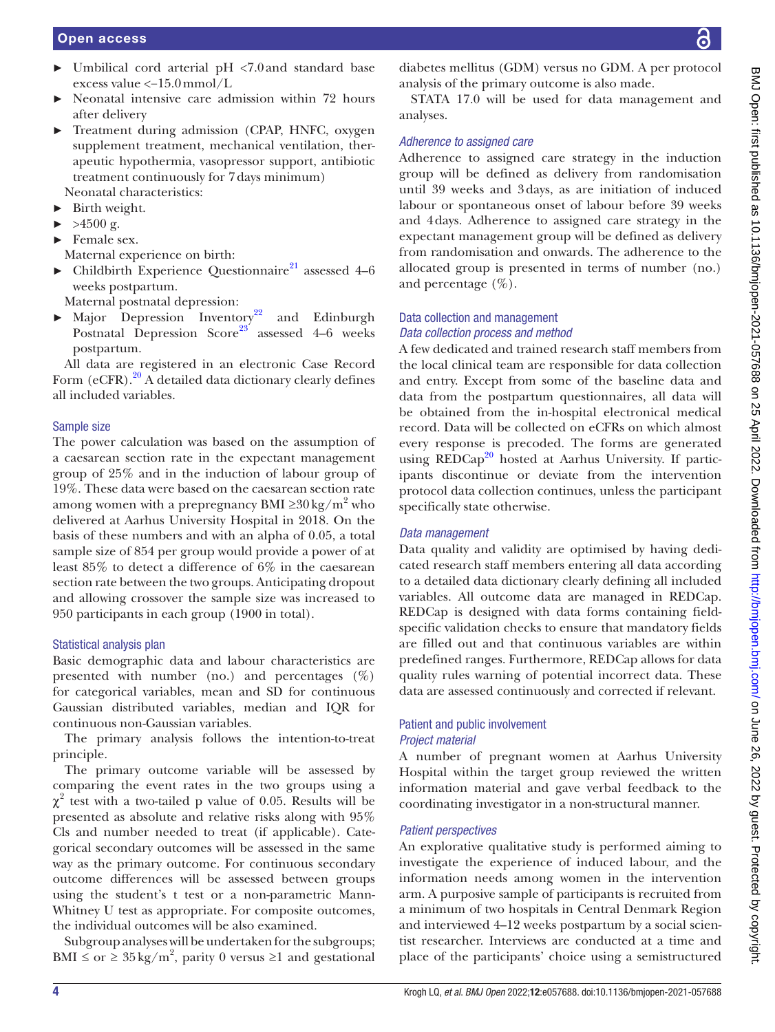- ► Umbilical cord arterial pH <7.0and standard base excess value <−15.0mmol/L
- Neonatal intensive care admission within 72 hours after delivery
- ► Treatment during admission (CPAP, HNFC, oxygen supplement treatment, mechanical ventilation, therapeutic hypothermia, vasopressor support, antibiotic treatment continuously for 7days minimum) Neonatal characteristics:
- ► Birth weight.
- $\blacktriangleright$  >4500 g.
- ► Female sex.
- Maternal experience on birth:
- $\blacktriangleright$  Childbirth Experience Questionnaire<sup>[21](#page-5-8)</sup> assessed 4–6 weeks postpartum.

Maternal postnatal depression:

► Major Depression Inventory<sup>22</sup> and Edinburgh Postnatal Depression Score<sup>23</sup> assessed  $4-6$  weeks postpartum.

All data are registered in an electronic Case Record Form  $(eCFR).^{20}$  A detailed data dictionary clearly defines all included variables.

## Sample size

The power calculation was based on the assumption of a caesarean section rate in the expectant management group of 25% and in the induction of labour group of 19%. These data were based on the caesarean section rate among women with a prepregnancy BMI ≥ $30\,\mathrm{kg/m^2}$  who delivered at Aarhus University Hospital in 2018. On the basis of these numbers and with an alpha of 0.05, a total sample size of 854 per group would provide a power of at least 85% to detect a difference of 6% in the caesarean section rate between the two groups. Anticipating dropout and allowing crossover the sample size was increased to 950 participants in each group (1900 in total).

## Statistical analysis plan

Basic demographic data and labour characteristics are presented with number (no.) and percentages  $(\%)$ for categorical variables, mean and SD for continuous Gaussian distributed variables, median and IQR for continuous non-Gaussian variables.

The primary analysis follows the intention-to-treat principle.

The primary outcome variable will be assessed by comparing the event rates in the two groups using a  $\chi^2$  test with a two-tailed p value of 0.05. Results will be presented as absolute and relative risks along with 95% Cls and number needed to treat (if applicable). Categorical secondary outcomes will be assessed in the same way as the primary outcome. For continuous secondary outcome differences will be assessed between groups using the student's t test or a non-parametric Mann-Whitney U test as appropriate. For composite outcomes, the individual outcomes will be also examined.

Subgroup analyses will be undertaken for the subgroups; BMI  $\leq$  or  $\geq$  35 kg/m<sup>2</sup>, parity 0 versus  $\geq$ 1 and gestational

diabetes mellitus (GDM) versus no GDM. A per protocol analysis of the primary outcome is also made.

STATA 17.0 will be used for data management and analyses.

## *Adherence to assigned care*

Adherence to assigned care strategy in the induction group will be defined as delivery from randomisation until 39 weeks and 3days, as are initiation of induced labour or spontaneous onset of labour before 39 weeks and 4days. Adherence to assigned care strategy in the expectant management group will be defined as delivery from randomisation and onwards. The adherence to the allocated group is presented in terms of number (no.) and percentage  $(\%).$ 

## Data collection and management *Data collection process and method*

A few dedicated and trained research staff members from the local clinical team are responsible for data collection and entry. Except from some of the baseline data and data from the postpartum questionnaires, all data will be obtained from the in-hospital electronical medical record. Data will be collected on eCFRs on which almost every response is precoded. The forms are generated using REDCap<sup>[20](#page-5-7)</sup> hosted at Aarhus University. If participants discontinue or deviate from the intervention protocol data collection continues, unless the participant specifically state otherwise.

## *Data management*

Data quality and validity are optimised by having dedicated research staff members entering all data according to a detailed data dictionary clearly defining all included variables. All outcome data are managed in REDCap. REDCap is designed with data forms containing fieldspecific validation checks to ensure that mandatory fields are filled out and that continuous variables are within predefined ranges. Furthermore, REDCap allows for data quality rules warning of potential incorrect data. These data are assessed continuously and corrected if relevant.

## Patient and public involvement *Project material*

A number of pregnant women at Aarhus University Hospital within the target group reviewed the written information material and gave verbal feedback to the coordinating investigator in a non-structural manner.

## *Patient perspectives*

An explorative qualitative study is performed aiming to investigate the experience of induced labour, and the information needs among women in the intervention arm. A purposive sample of participants is recruited from a minimum of two hospitals in Central Denmark Region and interviewed 4–12 weeks postpartum by a social scientist researcher. Interviews are conducted at a time and place of the participants' choice using a semistructured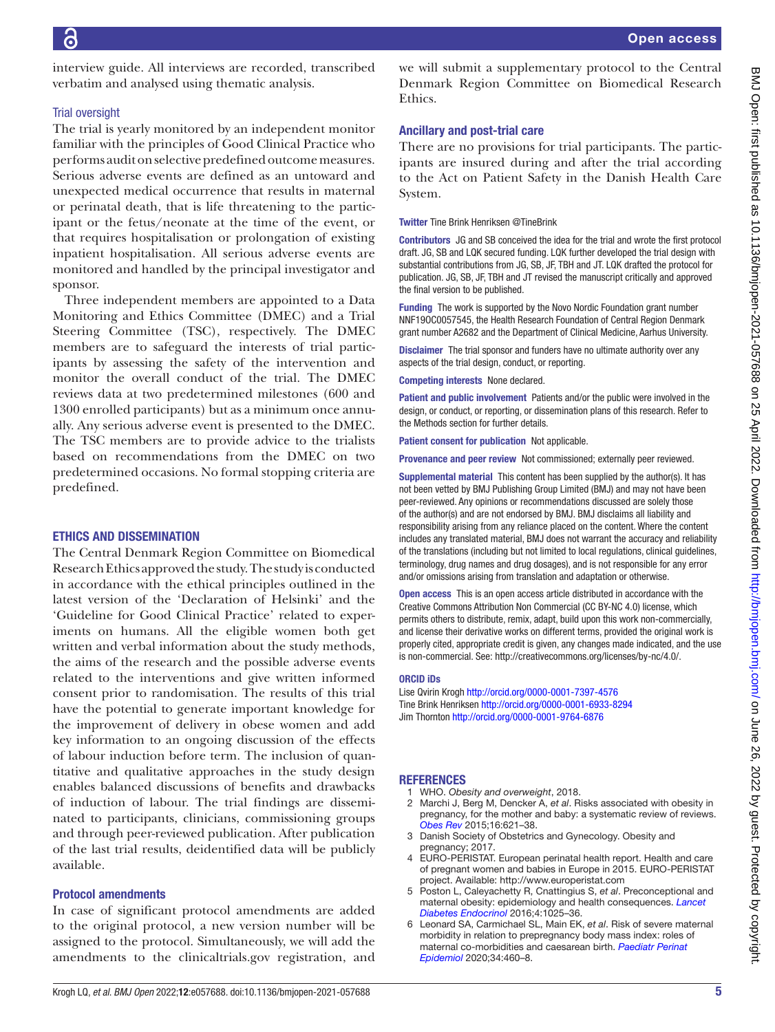interview guide. All interviews are recorded, transcribed verbatim and analysed using thematic analysis.

## Trial oversight

The trial is yearly monitored by an independent monitor familiar with the principles of Good Clinical Practice who performs audit on selective predefined outcome measures. Serious adverse events are defined as an untoward and unexpected medical occurrence that results in maternal or perinatal death, that is life threatening to the participant or the fetus/neonate at the time of the event, or that requires hospitalisation or prolongation of existing inpatient hospitalisation. All serious adverse events are monitored and handled by the principal investigator and sponsor.

Three independent members are appointed to a Data Monitoring and Ethics Committee (DMEC) and a Trial Steering Committee (TSC), respectively. The DMEC members are to safeguard the interests of trial participants by assessing the safety of the intervention and monitor the overall conduct of the trial. The DMEC reviews data at two predetermined milestones (600 and 1300 enrolled participants) but as a minimum once annually. Any serious adverse event is presented to the DMEC. The TSC members are to provide advice to the trialists based on recommendations from the DMEC on two predetermined occasions. No formal stopping criteria are predefined.

## ETHICS AND DISSEMINATION

The Central Denmark Region Committee on Biomedical Research Ethics approved the study. The study is conducted in accordance with the ethical principles outlined in the latest version of the 'Declaration of Helsinki' and the 'Guideline for Good Clinical Practice' related to experiments on humans. All the eligible women both get written and verbal information about the study methods, the aims of the research and the possible adverse events related to the interventions and give written informed consent prior to randomisation. The results of this trial have the potential to generate important knowledge for the improvement of delivery in obese women and add key information to an ongoing discussion of the effects of labour induction before term. The inclusion of quantitative and qualitative approaches in the study design enables balanced discussions of benefits and drawbacks of induction of labour. The trial findings are disseminated to participants, clinicians, commissioning groups and through peer-reviewed publication. After publication of the last trial results, deidentified data will be publicly available.

## Protocol amendments

In case of significant protocol amendments are added to the original protocol, a new version number will be assigned to the protocol. Simultaneously, we will add the amendments to the clinicaltrials.gov registration, and

we will submit a supplementary protocol to the Central Denmark Region Committee on Biomedical Research Ethics.

## Ancillary and post-trial care

There are no provisions for trial participants. The participants are insured during and after the trial according to the Act on Patient Safety in the Danish Health Care System.

Twitter Tine Brink Henriksen [@TineBrink](https://twitter.com/TineBrink)

Contributors JG and SB conceived the idea for the trial and wrote the first protocol draft. JG, SB and LQK secured funding. LQK further developed the trial design with substantial contributions from JG, SB, JF, TBH and JT. LQK drafted the protocol for publication. JG, SB, JF, TBH and JT revised the manuscript critically and approved the final version to be published.

Funding The work is supported by the Novo Nordic Foundation grant number NNF19OC0057545, the Health Research Foundation of Central Region Denmark grant number A2682 and the Department of Clinical Medicine, Aarhus University.

Disclaimer The trial sponsor and funders have no ultimate authority over any aspects of the trial design, conduct, or reporting.

Competing interests None declared.

Patient and public involvement Patients and/or the public were involved in the design, or conduct, or reporting, or dissemination plans of this research. Refer to the Methods section for further details.

Patient consent for publication Not applicable.

Provenance and peer review Not commissioned; externally peer reviewed.

Supplemental material This content has been supplied by the author(s). It has not been vetted by BMJ Publishing Group Limited (BMJ) and may not have been peer-reviewed. Any opinions or recommendations discussed are solely those of the author(s) and are not endorsed by BMJ. BMJ disclaims all liability and responsibility arising from any reliance placed on the content. Where the content includes any translated material, BMJ does not warrant the accuracy and reliability of the translations (including but not limited to local regulations, clinical guidelines, terminology, drug names and drug dosages), and is not responsible for any error and/or omissions arising from translation and adaptation or otherwise.

Open access This is an open access article distributed in accordance with the Creative Commons Attribution Non Commercial (CC BY-NC 4.0) license, which permits others to distribute, remix, adapt, build upon this work non-commercially, and license their derivative works on different terms, provided the original work is properly cited, appropriate credit is given, any changes made indicated, and the use is non-commercial. See: [http://creativecommons.org/licenses/by-nc/4.0/.](http://creativecommons.org/licenses/by-nc/4.0/)

## ORCID iDs

Lise Qvirin Krogh <http://orcid.org/0000-0001-7397-4576> Tine Brink Henriksen<http://orcid.org/0000-0001-6933-8294> Jim Thornton <http://orcid.org/0000-0001-9764-6876>

#### REFERENCES

- <span id="page-4-0"></span>1 WHO. *Obesity and overweight*, 2018.
- <span id="page-4-1"></span>2 Marchi J, Berg M, Dencker A, *et al*. Risks associated with obesity in pregnancy, for the mother and baby: a systematic review of reviews. *[Obes Rev](http://dx.doi.org/10.1111/obr.12288)* 2015;16:621–38.
- 3 Danish Society of Obstetrics and Gynecology. Obesity and pregnancy; 2017
- <span id="page-4-2"></span>4 EURO-PERISTAT. European perinatal health report. Health and care of pregnant women and babies in Europe in 2015. EURO-PERISTAT project. Available:<http://www.europeristat.com>
- <span id="page-4-3"></span>5 Poston L, Caleyachetty R, Cnattingius S, *et al*. Preconceptional and maternal obesity: epidemiology and health consequences. *[Lancet](http://dx.doi.org/10.1016/S2213-8587(16)30217-0)  [Diabetes Endocrinol](http://dx.doi.org/10.1016/S2213-8587(16)30217-0)* 2016;4:1025–36.
- 6 Leonard SA, Carmichael SL, Main EK, *et al*. Risk of severe maternal morbidity in relation to prepregnancy body mass index: roles of maternal co-morbidities and caesarean birth. *[Paediatr Perinat](http://dx.doi.org/10.1111/ppe.12555)  [Epidemiol](http://dx.doi.org/10.1111/ppe.12555)* 2020;34:460–8.